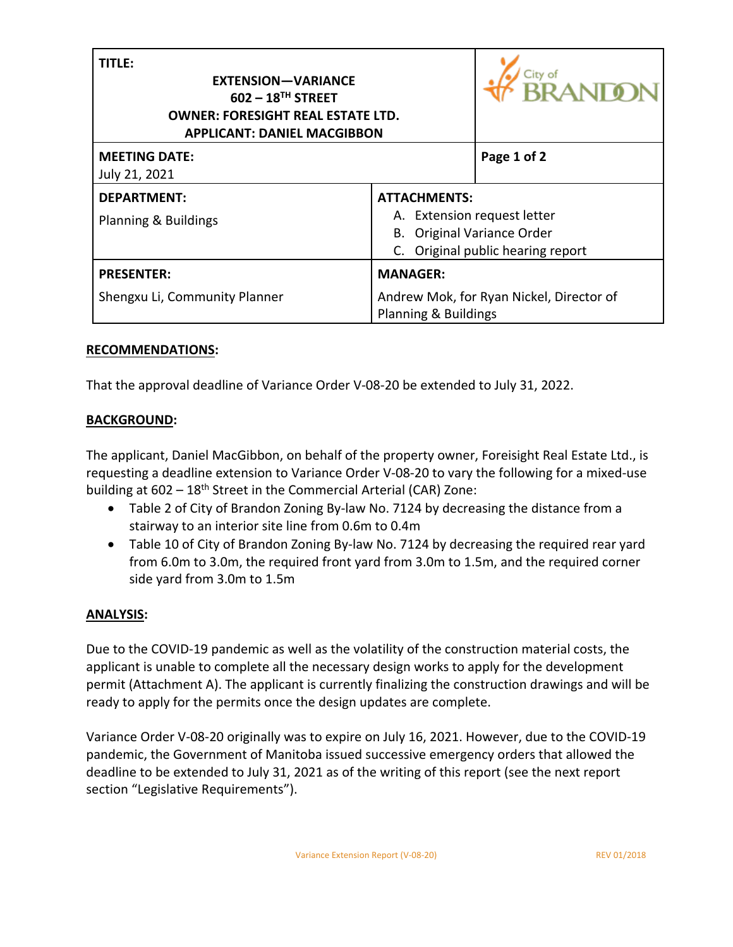| <b>TITLE:</b><br><b>EXTENSION-VARIANCE</b><br>$602 - 18$ <sup>TH</sup> STREET<br><b>OWNER: FORESIGHT REAL ESTATE LTD.</b><br><b>APPLICANT: DANIEL MACGIBBON</b> | <b>RANIO</b>                                                                                                          |  |
|-----------------------------------------------------------------------------------------------------------------------------------------------------------------|-----------------------------------------------------------------------------------------------------------------------|--|
| <b>MEETING DATE:</b><br>July 21, 2021                                                                                                                           | Page 1 of 2                                                                                                           |  |
| <b>DEPARTMENT:</b><br>Planning & Buildings                                                                                                                      | <b>ATTACHMENTS:</b><br>A. Extension request letter<br>B. Original Variance Order<br>C. Original public hearing report |  |
| <b>PRESENTER:</b><br>Shengxu Li, Community Planner                                                                                                              | <b>MANAGER:</b><br>Andrew Mok, for Ryan Nickel, Director of<br>Planning & Buildings                                   |  |

## **RECOMMENDATIONS:**

That the approval deadline of Variance Order V-08-20 be extended to July 31, 2022.

## **BACKGROUND:**

The applicant, Daniel MacGibbon, on behalf of the property owner, Foreisight Real Estate Ltd., is requesting a deadline extension to Variance Order V-08-20 to vary the following for a mixed-use building at  $602 - 18$ <sup>th</sup> Street in the Commercial Arterial (CAR) Zone:

- Table 2 of City of Brandon Zoning By-law No. 7124 by decreasing the distance from a stairway to an interior site line from 0.6m to 0.4m
- Table 10 of City of Brandon Zoning By-law No. 7124 by decreasing the required rear yard from 6.0m to 3.0m, the required front yard from 3.0m to 1.5m, and the required corner side yard from 3.0m to 1.5m

## **ANALYSIS:**

Due to the COVID-19 pandemic as well as the volatility of the construction material costs, the applicant is unable to complete all the necessary design works to apply for the development permit (Attachment A). The applicant is currently finalizing the construction drawings and will be ready to apply for the permits once the design updates are complete.

Variance Order V-08-20 originally was to expire on July 16, 2021. However, due to the COVID-19 pandemic, the Government of Manitoba issued successive emergency orders that allowed the deadline to be extended to July 31, 2021 as of the writing of this report (see the next report section "Legislative Requirements").